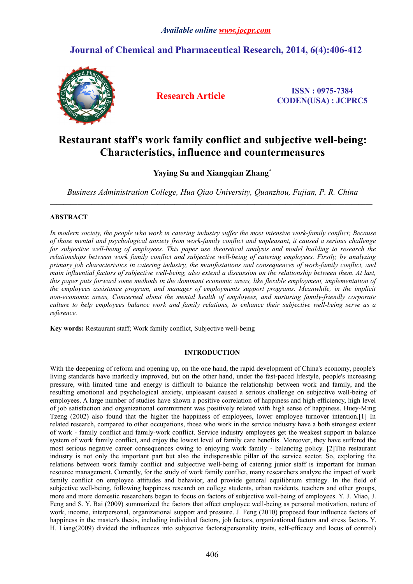# **Journal of Chemical and Pharmaceutical Research, 2014, 6(4):406-412**



**Research Article ISSN : 0975-7384 CODEN(USA) : JCPRC5**

# **Restaurant staff's work family conflict and subjective well-being: Characteristics, influence and countermeasures**

# **Yaying Su and Xiangqian Zhang\***

*Business Administration College, Hua Qiao University, Quanzhou, Fujian, P. R. China*

 $\_$  , and the state of the state of the state of the state of the state of the state of the state of the state of the state of the state of the state of the state of the state of the state of the state of the state of the

# **ABSTRACT**

In modern society, the people who work in catering industry suffer the most intensive work-family conflict: Because *of those mental and psychological anxiety from work-family conflictand unpleasant, it caused a serious challenge for subjective well-being of employees. This paper use theoretical analysis and model building to research the relationships between work family conflict and subjective well-being of catering employees. Firstly, by analyzing primary job characteristics in catering industry, the manifestations and consequences of work-family conflict,and* main influential factors of subjective well-being, also extend a discussion on the relationship between them. At last, *this paper puts forward some methods in the dominant economic areas, like flexible employment, implementation of the employees assistance program, and manager of employments support programs. Meanwhile, in the implicit non-economic areas, Concerned about the mental health of employees, and nurturing family-friendly corporate* culture to help employees balance work and family relations, to enhance their subjective well-being serve as a *reference.*

**Key words:**Restaurant staff; Work family conflict, Subjective well-being

# **INTRODUCTION**

With the deepening of reform and opening up, on the one hand, the rapid development of China's economy, people's living standards have markedly improved, but on the other hand, under the fast-paced lifestyle, people's increasing pressure, with limited time and energy is difficult to balance the relationship between work and family, and the resulting emotional and psychological anxiety, unpleasant caused a serious challenge on subjective well-being of employees. A large number of studies have shown a positive correlation of happiness and high efficiency, high level of job satisfaction and organizational commitment was positively related with high sense of happiness. Huey-Ming Tzeng (2002) also found that the higher the happiness of employees, lower employee turnover intention.[1] In related research, compared to other occupations, those who work in the service industry have a both strongest extent of work - family conflict and family-work conflict. Service industry employees get the weakest support in balance system of work family conflict, and enjoy the lowest level of family care benefits. Moreover, they have suffered the most serious negative career consequences owing to enjoying work family - balancing policy. [2]The restaurant industry is not only the important part but also the indispensable pillar of the service sector. So, exploring the relations between work family conflict and subjective well-being of catering junior staff is important for human resource management. Currently, for the study of work family conflict, many researchers analyze the impact of work family conflict on employee attitudes and behavior, and provide general equilibrium strategy. In the field of subjective well-being, following happiness research on college students, urban residents, teachers and other groups, more and more domestic researchers began to focus on factors of subjective well-being of employees. Y. J. Miao, J. Feng and S. Y. Bai (2009) summarized the factors that affect employee well-being as personal motivation, nature of work, income, interpersonal, organizational support and pressure. J. Feng (2010) proposed four influence factors of happiness in the master's thesis, including individual factors, job factors, organizational factors and stress factors. Y. H. Liang(2009) divided the influences into subjective factors(personality traits, self-efficacy and locus of control)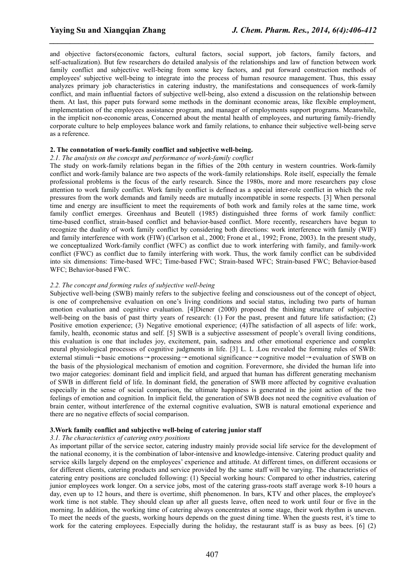and objective factors(economic factors, cultural factors, social support, job factors, family factors, and self-actualization). But few researchers do detailed analysis of the relationships and law of function between work family conflict and subjective well-being from some key factors, and put forward construction methods of employees' subjective well-being to integrate into the process of human resource management. Thus, this essay analyzes primary job characteristics in catering industry, the manifestations and consequences of work-family conflict, and main influential factors of subjective well-being, also extend a discussion on the relationship between them. At last, this paper puts forward some methods in the dominant economic areas, like flexible employment, implementation of the employees assistance program, and manager of employments support programs. Meanwhile, in the implicit non-economic areas, Concerned about the mental health of employees, and nurturing family-friendly corporate culture to help employees balance work and family relations, to enhance their subjective well-being serve as a reference.

*\_\_\_\_\_\_\_\_\_\_\_\_\_\_\_\_\_\_\_\_\_\_\_\_\_\_\_\_\_\_\_\_\_\_\_\_\_\_\_\_\_\_\_\_\_\_\_\_\_\_\_\_\_\_\_\_\_\_\_\_\_\_\_\_\_\_\_\_\_\_\_\_\_\_\_\_\_\_*

# **2. The connotation of work-family conflict and subjective well-being.**

### *2.1. The analysis on the concept and performance of work-family conflict*

The study on work-family relations began in the fifties of the 20th century in western countries. Work-family conflict and work-family balance are two aspects of the work-family relationships. Role itself, especially the female professional problems is the focus of the early research. Since the 1980s, more and more researchers pay close attention to work family conflict. Work family conflict is defined as a special inter-role conflict in which the role pressures from the work demands and family needs are mutually incompatible in some respects. [3] When personal time and energy are insufficient to meet the requirements of both work and family roles at the same time, work family conflict emerges. Greenhaus and Beutell (1985) distinguished three forms of work family conflict: time-based conflict, strain-based conflict and behavior-based conflict. More recently, researchers have begun to recognize the duality of work family conflict by considering both directions: work interference with family (WIF) and family interference with work (FIW) (Carlson et al., 2000; Frone et al., 1992; Frone, 2003). In the present study, we conceptualized Work-family conflict (WFC) as conflict due to work interfering with family, and family-work conflict (FWC) as conflict due to family interfering with work. Thus, the work family conflict can be subdivided into six dimensions: Time-based WFC; Time-based FWC; Strain-based WFC; Strain-based FWC; Behavior-based WFC; Behavior-based FWC.

# *2.2. The concept and forming rules of subjective well-being*

Subjective well-being (SWB) mainly refers to the subjective feeling and consciousness out of the concept of object, is one of comprehensive evaluation on one's living conditions and social status, including two parts of human emotion evaluation and cognitive evaluation. [4]Diener (2000) proposed the thinking structure of subjective well-being on the basis of past thirty years of research: (1) For the past, present and future life satisfaction; (2) Positive emotion experience; (3) Negative emotional experience; (4)The satisfaction of all aspects of life: work, family, health, economic status and self. [5] SWB is a subjective assessment of people's overall living conditions, this evaluation is one that includes joy, excitement, pain, sadness and other emotional experience and complex neural physiological processes of cognitive judgments in life. [3] L. L .Lou revealed the forming rules of SWB: external stimuli→basic emotions→processing→emotional significance→cognitive model→evaluation of SWB on the basis of the physiological mechanism of emotion and cognition. Forevermore, she divided the human life into two major categories: dominant field and implicit field, and argued that human has different generating mechanism of SWB in different field of life. In dominant field, the generation of SWB more affected by cognitive evaluation especially in the sense of social comparison, the ultimate happiness is generated in the joint action of the two feelings of emotion and cognition. In implicit field, the generation of SWB does not need the cognitive evaluation of brain center, without interference of the external cognitive evaluation, SWB is natural emotional experience and there are no negative effects of social comparison.

## **3.Work family conflict and subjective well-being of catering junior staff**

# *3.1. The characteristics of catering entry positions*

As important pillar of the service sector, catering industry mainly provide social life service for the development of the national economy, it is the combination of labor-intensive and knowledge-intensive. Catering product quality and service skills largely depend on the employees' experience and attitude. At different times, on different occasions or for different clients, catering products and service provided by the same staffwill be varying.The characteristics of catering entry positions are concluded following: (1) Special working hours: Compared to other industries, catering junior employees work longer. On a service jobs, most of the catering grass-roots staff average work 8-10 hours a day, even up to 12 hours, and there is overtime, shift phenomenon. In bars, KTV and other places, the employee's work time is not stable. They should clean up after all guests leave, often need to work until four or five in the morning. In addition, the working time of catering always concentrates at some stage, their work rhythm is uneven. To meet the needs of the guests, working hours depends on the guest dining time. When the guests rest, it's time to work for the catering employees. Especially during the holiday, the restaurant staff is as busy as bees.  $[6]$  (2)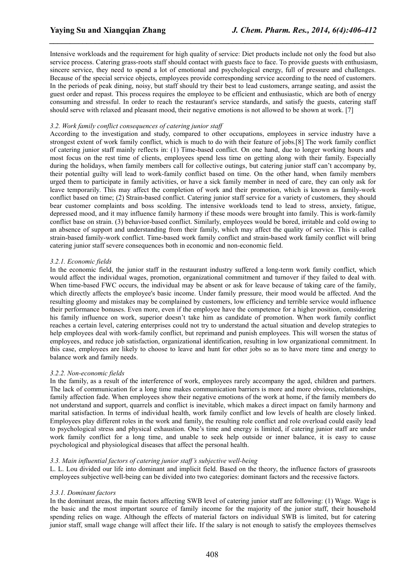Intensive workloads and the requirement for high quality of service: Diet products include not only the food but also service process. Catering grass-roots staff should contact with guests face to face. To provide guests with enthusiasm, sincere service, they need to spend a lot of emotional and psychological energy, full of pressure and challenges. Because of the special service objects, employees provide corresponding service according to the need of customers. In the periods of peak dining, noisy, but staff should try their best to lead customers, arrange seating, and assist the guest order and repast. This process requires the employee to be efficient and enthusiastic, which are both of energy consuming and stressful. In order to reach the restaurant's service standards, and satisfy the guests, catering staff should serve with relaxed and pleasant mood, their negative emotions is not allowed to be shown at work. [7]

*\_\_\_\_\_\_\_\_\_\_\_\_\_\_\_\_\_\_\_\_\_\_\_\_\_\_\_\_\_\_\_\_\_\_\_\_\_\_\_\_\_\_\_\_\_\_\_\_\_\_\_\_\_\_\_\_\_\_\_\_\_\_\_\_\_\_\_\_\_\_\_\_\_\_\_\_\_\_*

# *3.2. Work family conflict consequences of catering junior staff*

According to the investigation and study, compared to other occupations, employees in service industry have a strongest extent of work family conflict, which is much to do with their feature of jobs.[8] The work family conflict of catering junior staff mainly reflects in: (1) Time-based conflict. On one hand, due to longer working hours and most focus on the rest time of clients, employees spend less time on getting along with their family. Especially during the holidays, when family members call for collective outings, but catering junior staff can't accompany by, their potential guilty will lead to work-family conflict based on time. On the other hand, when family members urged them to participate in family activities, or have a sick family member in need of care, they can only ask for leave temporarily. This may affect the completion of work and their promotion, which is known as family-work conflict based on time; (2) Strain-based conflict. Catering junior staff service for a variety of customers, they should bear customer complaints and boss scolding. The intensive workloads tend to lead to stress, anxiety, fatigue, depressed mood, and it may influence family harmony if these moods were brought into family. This is work-family conflict base on strain. (3) behavior-based conflict. Similarly, employees would be bored, irritable and cold owing to an absence of support and understanding from their family, which may affect the quality of service. This is called strain-based family-work conflict. Time-based work family conflict and strain-based work family conflict will bring catering junior staff severe consequences both in economic and non-economic field.

# *3.2.1. Economic fields*

In the economic field, the junior staff in the restaurant industry suffered a long-term work family conflict, which would affect the individual wages, promotion, organizational commitment and turnover if they failed to deal with. When time-based FWC occurs, the individual may be absent or ask for leave because of taking care of the family, which directly affects the employee's basic income. Under family pressure, their mood would be affected. And the resulting gloomy and mistakes may be complained by customers, low efficiencyand terrible service would influence their performance bonuses. Even more, even if the employee have the competence for a higher position, considering his family influence on work, superior doesn't take him as candidate of promotion. When work family conflict reaches a certain level, catering enterprises could not try to understand the actual situation and develop strategies to help employees deal with work-family conflict, but reprimand and punish employees. This will worsen the status of employees, and reduce job satisfaction, organizational identification, resulting in low organizational commitment. In this case, employees are likely to choose to leave and hunt for other jobs so as to have more time and energy to balance work and family needs.

### *3.2.2. Non-economic fields*

In the family, as a result of the interference of work, employees rarely accompany the aged, children and partners. The lack of communication for a long time makes communication barriers is more and more obvious, relationships, family affection fade. When employees show their negative emotions of the work at home, if the family members do not understand and support, quarrels and conflict is inevitable, which makes a direct impact on family harmony and marital satisfaction. In terms of individual health, work family conflict and low levels of health are closely linked. Employees play different roles in the work and family, the resulting role conflict and role overload could easily lead to psychological stress and physical exhaustion. One's time and energy is limited, if catering junior staff are under work family conflict for a long time, and unable to seek help outside or inner balance, it is easy to cause psychological and physiological diseases that affect the personal health.

### *3.3. Main influential factors of catering junior staff's subjective well-being*

L. L. Lou divided our life into dominant and implicit field. Based on the theory, the influence factors of grassroots employees subjective well-being can be divided into two categories: dominant factors and the recessive factors.

### *3.3.1. Dominant factors*

In the dominant areas, the main factors affecting SWB level of catering junior staff are following: (1) Wage. Wage is the basic and the most important source of family income for the majority of the junior staff, their household spending relies on wage. Although the effects of material factors on individual SWB is limited, but for catering junior staff, small wage change will affect their life. If the salary is not enough to satisfy the employees themselves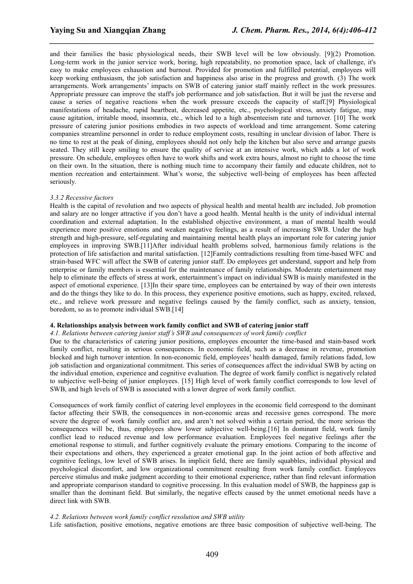and their families the basic physiological needs, their SWB level will be low obviously. [9](2) Promotion. Long-term work in the junior service work, boring, high repeatability, no promotion space, lack of challenge, it's easy to make employees exhaustion and burnout. Provided for promotion and fulfilled potential, employees will keep working enthusiasm, the job satisfaction and happiness also arise in the progress and growth. (3) The work arrangements. Work arrangements' impacts on SWB of catering junior staff mainly reflect in the work pressures. Appropriate pressure can improve the staff's job performance and job satisfaction. But it will be just the reverse and cause a series of negative reactions when the work pressure exceeds the capacity of staff.[9] Physiological manifestations of headache, rapid heartbeat, decreased appetite, etc., psychological stress, anxiety fatigue, may cause agitation, irritable mood, insomnia, etc., which led to a high absenteeism rate and turnover. [10] The work pressure of catering junior positions embodies in two aspects of workload and time arrangement. Some catering companies streamline personnel in order to reduce employment costs, resulting in unclear division of labor. There is no time to rest at the peak of dining, employees should not only help the kitchen but also serve and arrange guests seated. They still keep smiling to ensure the quality of service at an intensive work, which adds a lot of work pressure. On schedule, employees often have to work shifts and work extra hours, almost no right to choose the time on their own. In the situation, there isnothing much time to accompany their family and educate children, not to mention recreation and entertainment. What's worse, the subjective well-being of employees has been affected seriously.

*\_\_\_\_\_\_\_\_\_\_\_\_\_\_\_\_\_\_\_\_\_\_\_\_\_\_\_\_\_\_\_\_\_\_\_\_\_\_\_\_\_\_\_\_\_\_\_\_\_\_\_\_\_\_\_\_\_\_\_\_\_\_\_\_\_\_\_\_\_\_\_\_\_\_\_\_\_\_*

# *3.3.2 Recessive factors*

Health is the capital of revolution and two aspects of physical health and mental health are included. Job promotion and salary are no longer attractive if you don't have a good health. Mental health is the unity of individual internal coordination and external adaptation. In the established objective environment, a man of mental health would experience more positive emotions and weaken negative feelings, as a result of increasing SWB. Under the high strength and high-pressure, self-regulating and maintaining mental health plays an important role for catering junior employees in improving SWB.[11]After individual health problems solved, harmonious family relations is the protection of life satisfaction and marital satisfaction. [12]Family contradictions resulting from time-based WFC and strain-based WFC willaffect the SWB of catering junior staff. Do employees get understand, support and help from enterprise or family members is essential for the maintenance of family relationships. Moderate entertainment may help to eliminate the effects of stress at work, entertainment's impact on individual SWB is mainly manifested in the aspect of emotional experience. [13]In their spare time, employees can be entertained by way of their own interests and do the things they like to do. In this process, they experience positive emotions, such as happy, excited, relaxed, etc., and relieve work pressure and negative feelings caused by the family conflict, such as anxiety, tension, boredom, so as to promote individual SWB.[14]

# **4. Relationships analysis between work family conflict and SWB of catering junior staff**

# *4.1. Relations between catering junior staff's SWB and consequences of work family conflict*

Due to the characteristics of catering junior positions, employees encounter the time-based and stain-based work family conflict, resulting in serious consequences. In economic field, such as a decrease in revenue, promotion blocked and high turnover intention. In non-economic field, employees' health damaged, family relations faded, low job satisfaction and organizational commitment. This series of consequences affect the individual SWB by acting on the individual emotion, experience and cognitive evaluation. The degree of work family conflict is negatively related to subjective well-being of junior employees. [15] High level of work family conflict corresponds to low level of SWB, and high levels of SWB is associated with a lower degree of work family conflict.

Consequences ofwork family conflict of catering level employees in the economic field correspond to the dominant factor affecting their SWB, the consequences in non-economic areas and recessive genes correspond. The more severe the degree of work family conflict are, and aren't not solved within a certain period, the more serious the consequences will be, thus, employees show lower subjective well-being.[16] In dominant field, work family conflict lead to reduced revenue and low performance evaluation. Employees feel negative feelings after the emotional response to stimuli, and further cognitively evaluate the primary emotions. Comparing to the income of their expectations and others, they experienced a greater emotional gap. In the joint action of both affective and cognitive feelings, low level of SWB arises. In implicit field, there are family squabbles, individual physical and psychological discomfort, and low organizational commitment resulting from work family conflict. Employees perceive stimulus and make judgment according to their emotional experience, rather than find relevant information and appropriate comparison standard to cognitive processing. In this evaluation model of SWB, the happiness gap is smaller than the dominant field. But similarly, the negative effects caused by the unmet emotional needs have a direct link with SWB.

# *4.2. Relations between work family conflict resolution and SWB utility*

Life satisfaction, positive emotions, negative emotions are three basic composition of subjective well-being. The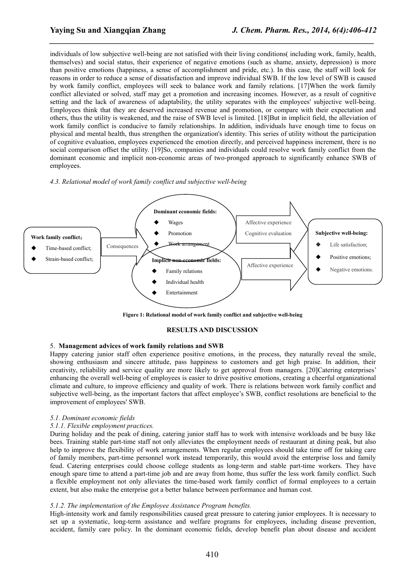individuals of low subjective well-being are not satisfied with their living conditions( including work, family, health, themselves) and social status, their experience of negative emotions (such as shame, anxiety, depression) is more than positive emotions (happiness, a sense of accomplishment and pride, etc.). In this case, the staffwill look for reasons in order to reduce a sense of dissatisfaction and improve individual SWB. If the low level of SWB is caused by work family conflict, employees will seek to balance work and family relations. [17]When the work family conflict alleviated or solved, staff may get a promotion and increasing incomes. However, as a result of cognitive setting and the lack of awareness of adaptability, the utility separates with the employees' subjective well-being. Employees think that they are deserved increased revenue and promotion, or compare with their expectation and others, thus the utility is weakened, and the raise of SWB level is limited. [18]But in implicit field, the alleviation of work family conflict is conducive to family relationships. In addition, individuals have enough time to focus on physical and mental health, thus strengthen the organization's identity. This series of utility without the participation of cognitive evaluation, employees experienced the emotion directly, and perceived happiness increment, there isno social comparison offset the utility. [19]So, companies and individuals could resolve work family conflict from the dominant economic and implicit non-economic areas of two-pronged approach to significantly enhance SWB of employees.

*\_\_\_\_\_\_\_\_\_\_\_\_\_\_\_\_\_\_\_\_\_\_\_\_\_\_\_\_\_\_\_\_\_\_\_\_\_\_\_\_\_\_\_\_\_\_\_\_\_\_\_\_\_\_\_\_\_\_\_\_\_\_\_\_\_\_\_\_\_\_\_\_\_\_\_\_\_\_*

### *4.3. Relational model of work family conflict and subjective well-being*



**Figure 1: Relational model of work family conflict and subjective well-being**

## **RESULTS AND DISCUSSION**

# 5. **Management advices ofwork family relations and SWB**

Happy catering junior staff often experience positive emotions, in the process, they naturally reveal the smile, showing enthusiasm and sincere attitude, pass happiness to customers and get high praise. In addition, their creativity, reliability and service quality are more likely to get approval from managers. [20]Catering enterprises' enhancing the overall well-being of employees is easier to drive positive emotions, creating a cheerful organizational climate and culture, to improve efficiency and quality of work. There isrelations between work family conflict and subjective well-being, as the important factors that affect employee's SWB, conflict resolutions are beneficial to the improvement of employees' SWB.

### *5.1. Dominant economic fields*

### *5.1.1. Flexible employment practices.*

During holiday and the peak of dining, catering junior staff has to work with intensive workloads and be busy like bees. Training stable part-time staff not only alleviates the employment needs of restaurant at dining peak, but also help to improve the flexibility of work arrangements. When regular employees should take time off for taking care of family members, part-time personnel work instead temporarily, this would avoid the enterprise loss and family feud. Catering enterprises could choose college students as long-term and stable part-time workers. They have enough spare time to attend a part-time job and are away from home, thus suffer the less work family conflict. Such a flexible employment not only alleviates the time-based work family conflict of formal employees to a certain extent, but also make the enterprise got a better balance between performance and human cost.

### *5.1.2. The implementation of the Employee Assistance Program benefits.*

High-intensity work and family responsibilities caused great pressure to catering junior employees. It is necessary to set up a systematic, long-term assistance and welfare programs for employees, including disease prevention, accident, family care policy. In the dominant economic fields, develop benefit plan about disease and accident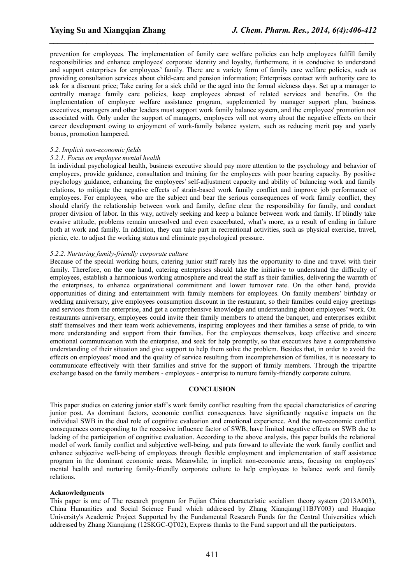prevention for employees. The implementation of family care welfare policies can help employees fulfill family responsibilities and enhance employees' corporate identity and loyalty, furthermore, it is conducive to understand and support enterprises for employees' family. There are a variety form of family care welfare policies, such as providing consultation services about child-care and pension information; Enterprises contact with authority care to ask for a discount price; Take caring for a sick child or the aged into the formal sickness days. Set up a manager to centrally manage family care policies, keep employees abreast of related services and benefits. On the implementation of employee welfare assistance program, supplemented by manager support plan, business executives, managers and other leaders must support work family balance system, and the employees' promotion not associated with. Only under the support of managers, employees will not worry about the negative effects on their career development owing to enjoyment of work-family balance system, such as reducing merit pay and yearly bonus, promotion hampered.

*\_\_\_\_\_\_\_\_\_\_\_\_\_\_\_\_\_\_\_\_\_\_\_\_\_\_\_\_\_\_\_\_\_\_\_\_\_\_\_\_\_\_\_\_\_\_\_\_\_\_\_\_\_\_\_\_\_\_\_\_\_\_\_\_\_\_\_\_\_\_\_\_\_\_\_\_\_\_*

### *5.2. Implicit non-economic fields*

#### *5.2.1. Focus on employee mental health*

In individual psychological health, business executive should pay more attention to the psychology and behavior of employees, provide guidance, consultation and training for the employees with poor bearing capacity. By positive psychology guidance, enhancing the employees' self-adjustment capacity and ability of balancing work and family relations, to mitigate the negative effects of strain-based work family conflict and improve job performance of employees. For employees, who are the subject and bear the serious consequences of work family conflict, they should clarify the relationship between work and family, define clear the responsibility for family, and conduct proper division of labor. In this way, actively seeking and keep a balance between work and family. If blindly take evasive attitude, problems remain unresolved and even exacerbated, what's more, as a result of ending in failure both at work and family. In addition, they can take part in recreational activities, such as physical exercise, travel, picnic, etc. to adjust the working status and eliminate psychological pressure.

# *5.2.2. Nurturing family-friendly corporate culture*

Because of the special working hours, catering junior staff rarely has the opportunity to dine and travel with their family. Therefore, on the one hand, catering enterprises should take the initiative to understand the difficulty of employees, establish a harmonious working atmosphere and treat the staffas their families, delivering the warmth of the enterprises, to enhance organizational commitment and lower turnover rate. On the other hand, provide opportunities of dining and entertainment with family members for employees. On family members' birthday or wedding anniversary, give employees consumption discount in the restaurant, so their families could enjoy greetings and services from the enterprise, and get a comprehensive knowledge and understanding about employees' work. On restaurants anniversary, employees could invite their family members to attend the banquet, and enterprises exhibit staff themselves and their team work achievements, inspiring employees and their families a sense of pride, to win more understanding and support from their families. For the employees themselves, keep effective and sincere emotional communication with the enterprise, and seek for help promptly, so that executives have a comprehensive understanding of their situation and give support to help them solve the problem. Besides that, in order to avoid the effects on employees' mood and the quality of service resulting from incomprehension of families, it is necessary to communicate effectively with their families and strive for the support of family members. Through the tripartite exchange based on the family members - employees - enterprise to nurture family-friendly corporate culture.

### **CONCLUSION**

This paper studies on catering junior staff's work family conflict resulting from the special characteristics of catering junior post. As dominant factors, economic conflict consequences have significantly negative impacts on the individual SWB in the dual role of cognitive evaluation and emotional experience. And the non-economic conflict consequences corresponding to the recessive influence factor of SWB, have limited negative effects on SWB due to lacking of the participation of cognitive evaluation. According to the above analysis, this paper builds the relational model of work family conflict and subjective well-being, and puts forward to alleviate the work family conflict and enhance subjective well-being of employees through flexible employment and implementation of staff assistance program in the dominant economic areas. Meanwhile, in implicit non-economic areas, focusing on employees' mental health and nurturing family-friendly corporate culture to help employees to balance work and family relations.

### **Acknowledgments**

This paper is one of The research program for Fujian China characteristic socialism theory system (2013A003), China Humanities and Social Science Fund which addressed by Zhang Xianqiang(11BJY003) and Huaqiao University's Academic Project Supported by the Fundamental Research Funds for the Central Universities which addressed by Zhang Xianqiang (12SKGC-QT02), Express thanks to the Fund support and all the participators.